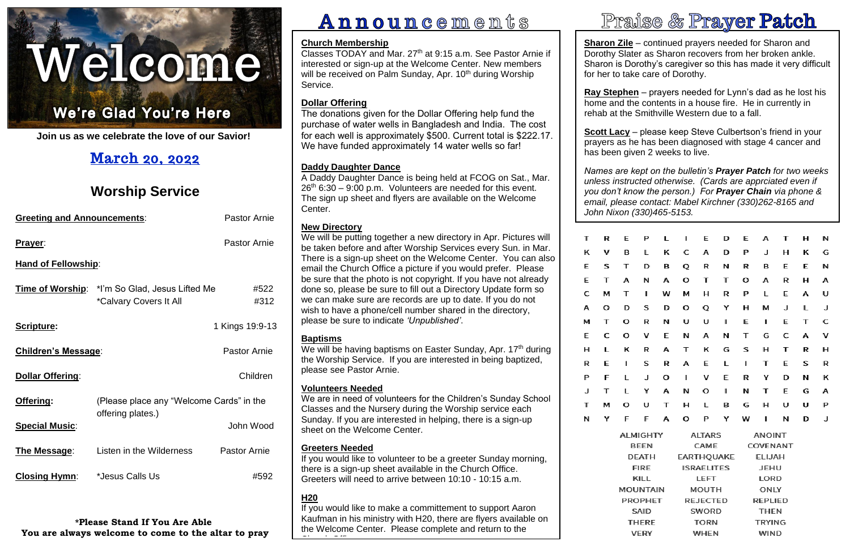# Welcome.

### Ņ Ļ

í, **Join us as we celebrate the love of our Savior!**

# **March 20, 2022**

# **Worship Service**

| <b>Pastor Arnie</b><br><b>Greeting and Announcements:</b> |                                                                                 |                     |  |  |  |
|-----------------------------------------------------------|---------------------------------------------------------------------------------|---------------------|--|--|--|
| Prayer:                                                   | <b>Pastor Arnie</b>                                                             |                     |  |  |  |
| <b>Hand of Fellowship:</b>                                |                                                                                 |                     |  |  |  |
|                                                           | <b>Time of Worship:</b> *I'm So Glad, Jesus Lifted Me<br>*Calvary Covers It All | #522<br>#312        |  |  |  |
| Scripture:                                                |                                                                                 | 1 Kings 19:9-13     |  |  |  |
| <b>Children's Message:</b>                                | <b>Pastor Arnie</b>                                                             |                     |  |  |  |
| <b>Dollar Offering:</b>                                   |                                                                                 | Children            |  |  |  |
| Offering:                                                 | (Please place any "Welcome Cards" in the<br>offering plates.)                   |                     |  |  |  |
| <b>Special Music:</b>                                     |                                                                                 | John Wood           |  |  |  |
| The Message:                                              | Listen in the Wilderness                                                        | <b>Pastor Arnie</b> |  |  |  |
| <b>Closing Hymn:</b>                                      | *Jesus Calls Us                                                                 | #592                |  |  |  |

**Sharon Zile** – continued prayers needed for Sharon and Dorothy Slater as Sharon recovers from her broken ankle. Sharon is Dorothy's caregiver so this has made it very difficult for her to take care of Dorothy.

**\*Please Stand If You Are Able You are always welcome to come to the altar to pray**

# **Announcements**

<u>scott Lacy</u> – piease keep steve Cuipertson's friend in your<br>prayers as he has been diagnosed with stage 4 cancer and **Scott Lacy** – please keep Steve Culbertson's friend in your has been given 2 weeks to live.

| т | R | E                                              | P | L                              | ı                 | E                         | D | E           | А              | т | н | N |
|---|---|------------------------------------------------|---|--------------------------------|-------------------|---------------------------|---|-------------|----------------|---|---|---|
| κ | v | в                                              | L | κ                              | c                 | А                         | D | P           | J              | н | κ | G |
| E | s | т                                              | D | В                              | Q                 | R                         | N | R           | в              | E | E | Ν |
| E | Т | А                                              | Ν | А                              | o                 | т                         | Т | o           | Α              | R | н | А |
| с | М | т                                              | I | w                              | м                 | н                         | R | P           | L              | E | Α | U |
| А | o | D                                              | S | D                              | o                 | Q                         | Υ | н           | м              | J | L | J |
| м | Т | о                                              | R | Ν                              | U                 | U                         | ı | E           | ı              | E | T | C |
| E | с | о                                              | Λ | E                              | Ν                 | А                         | Ν | т           | G              | c | А | Λ |
| н | L | κ                                              | R | А                              | т                 | κ                         | G | S           | н              | т | R | н |
| R | E | ı                                              | S | R                              | А                 | E                         | L | ı           | T              | E | S | R |
| P | F | L                                              | J | o                              | ı                 | Λ                         | E | R           | Υ              | D | Ν | κ |
| J | т | L                                              | Υ | А                              | N                 | О                         | ı | N           | т              | E | G | А |
| Т | М | о                                              | U | Т                              | н                 | г                         | в | G           | н              | U | U | P |
| Ν | Υ | F                                              | F | А                              | o                 | Ρ                         | Υ | w           | ı              | И | D | J |
|   |   | <b>ALMIGHTY</b><br><b>BEEN</b><br><b>DEATH</b> |   | <b>ALTARS</b><br><b>ANOINT</b> |                   |                           |   |             |                |   |   |   |
|   |   |                                                |   | CAME                           |                   | COVENANT<br><b>ELIJAH</b> |   |             |                |   |   |   |
|   |   |                                                |   | EARTHQUAKE                     |                   |                           |   |             |                |   |   |   |
|   |   | <b>FIRE</b><br>KILL                            |   |                                | <b>ISRAELITES</b> |                           |   | <b>JEHU</b> |                |   |   |   |
|   |   |                                                |   |                                |                   | LEFT                      |   |             | LORD           |   |   |   |
|   |   | MOUNTAIN                                       |   |                                |                   | <b>MOUTH</b>              |   |             | ONLY           |   |   |   |
|   |   | <b>PROPHET</b>                                 |   |                                |                   | <b>REJECTED</b>           |   |             | <b>REPLIED</b> |   |   |   |

# Praise & Prayer Patch

Classes TODAY and Mar. 27<sup>th</sup> at 9:15 a.m. See Pastor Arnie if interested or sign-up at the Welcome Center. New members will be received on Palm Sunday, Apr. 10<sup>th</sup> during Worship Service.

**Ray Stephen** – prayers needed for Lynn's dad as he lost his home and the contents in a house fire. He in currently in rehab at the Smithville Western due to a fall.

> SAID **SWORD THEN TORN THERE TRYING VERY** WHEN **WIND**

 *Names are kept on the bulletin's Prayer Patch for two weeks you don't know the person.) For Prayer Chain via phone & unless instructed otherwise. (Cards are apprciated even if email, please contact: Mabel Kirchner (330)262-8165 and John Nixon (330)465-5153.*

We will be having baptisms on Easter Sunday, Apr. 17<sup>th</sup> during the Worship Service. If you are interested in being baptized, please see Pastor Arnie.

# **Church Membership**

If you would like to make a committement to support Aaron Kaufman in his ministry with H20, there are flyers available on the Welcome Center. Please complete and return to the <u>Church Office.</u><br>Church Office.



# **Dollar Offering**

The donations given for the Dollar Offering help fund the purchase of water wells in Bangladesh and India. The cost for each well is approximately \$500. Current total is \$222.17. We have funded approximately 14 water wells so far!

# **Daddy Daughter Dance**

A Daddy Daughter Dance is being held at FCOG on Sat., Mar.  $26<sup>th</sup> 6:30 - 9:00$  p.m. Volunteers are needed for this event. The sign up sheet and flyers are available on the Welcome Center.

# **New Directory**

We will be putting together a new directory in Apr. Pictures will be taken before and after Worship Services every Sun. in Mar. There is a sign-up sheet on the Welcome Center. You can also email the Church Office a picture if you would prefer. Please be sure that the photo is not copyright. If you have not already done so, please be sure to fill out a Directory Update form so we can make sure are records are up to date. If you do not wish to have a phone/cell number shared in the directory, please be sure to indicate *'Unpublished'*.

# **Baptisms**

# **Volunteers Needed**

We are in need of volunteers for the Children's Sunday School Classes and the Nursery during the Worship service each Sunday. If you are interested in helping, there is a sign-up sheet on the Welcome Center.

# **Greeters Needed**

If you would like to volunteer to be a greeter Sunday morning, there is a sign-up sheet available in the Church Office. Greeters will need to arrive between 10:10 - 10:15 a.m.

# **H20**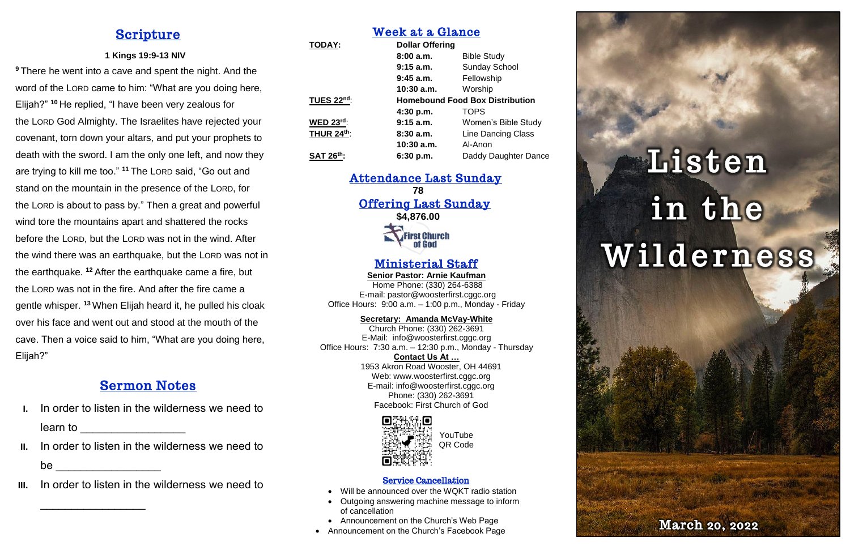# **Scripture**

## **1 Kings 19:9-13 NIV**

**<sup>9</sup>** There he went into a cave and spent the night. And the word of the LORD came to him: "What are you doing here, Elijah?" **<sup>10</sup>** He replied, "I have been very zealous for the LORD God Almighty. The Israelites have rejected your covenant, torn down your altars, and put your prophets to death with the sword. I am the only one left, and now they are trying to kill me too." **<sup>11</sup>** The LORD said, "Go out and stand on the mountain in the presence of the LORD, for the LORD is about to pass by." Then a great and powerful wind tore the mountains apart and shattered the rocks before the LORD, but the LORD was not in the wind. After the wind there was an earthquake, but the LORD was not in the earthquake. **<sup>12</sup>** After the earthquake came a fire, but the LORD was not in the fire. And after the fire came a gentle whisper. **<sup>13</sup>** When Elijah heard it, he pulled his cloak over his face and went out and stood at the mouth of the cave. Then a voice said to him, "What are you doing here, Elijah?"

- In order to listen in the wilderness we need to learn to **and the set of the set of the set of the set of the set of the set of the set of the set of the set o**
- **II.** In order to listen in the wilderness we need to  $be \fbox{1}$
- **III.** In order to listen in the wilderness we need to

 $\mathcal{L}=\mathcal{L}^{\mathcal{L}}$ 

Attendance Last Sunday **78** Offering Last Sunday **\$4,876.00 First Church<br>of God** 

# Sermon Notes

Web: [www.woosterfirst.cggc.org](http://www.woosterfirst.cggc.org/) E-mail: info@woosterfirst.cggc.org Phone: (330) 262-3691 Facebook: First Church of God



# Week at a Glance

| <b>TODAY:</b>     | <b>Dollar Offering</b>                 |                           |  |
|-------------------|----------------------------------------|---------------------------|--|
|                   | 8:00a.m.                               | <b>Bible Study</b>        |  |
|                   | $9:15$ a.m.                            | <b>Sunday School</b>      |  |
|                   | $9:45$ a.m.                            | Fellowship                |  |
|                   | $10:30$ a.m.                           | Worship                   |  |
| <b>TUES 22nd:</b> | <b>Homebound Food Box Distribution</b> |                           |  |
|                   | 4:30 p.m.                              | <b>TOPS</b>               |  |
| <b>WED 23rd:</b>  | $9:15$ a.m.                            | Women's Bible Study       |  |
| <b>THUR 24th:</b> | 8:30a.m.                               | <b>Line Dancing Class</b> |  |
|                   | $10:30$ a.m.                           | Al-Anon                   |  |
| <b>SAT 26th:</b>  | 6:30 p.m.                              | Daddy Daughter Dance      |  |

# Ministerial Staff

**Senior Pastor: Arnie Kaufman** Home Phone: (330) 264-6388 E-mail: [pastor@woosterfirst.cggc.org](mailto:pastor@woosterfirst.cggc.org) Office Hours: 9:00 a.m. – 1:00 p.m., Monday - Friday

**Secretary: Amanda McVay-White**

Church Phone: (330) 262-3691 E-Mail: info@woosterfirst.cggc.org Office Hours: 7:30 a.m. – 12:30 p.m., Monday - Thursday **Contact Us At …** 1953 Akron Road Wooster, OH 44691

### Service Cancellation

- Will be announced over the WQKT radio station
- Outgoing answering machine message to inform of cancellation
- Announcement on the Church's Web Page
- Announcement on the Church's Facebook Page

# Listen in the Wilderness



YouTube QR Code